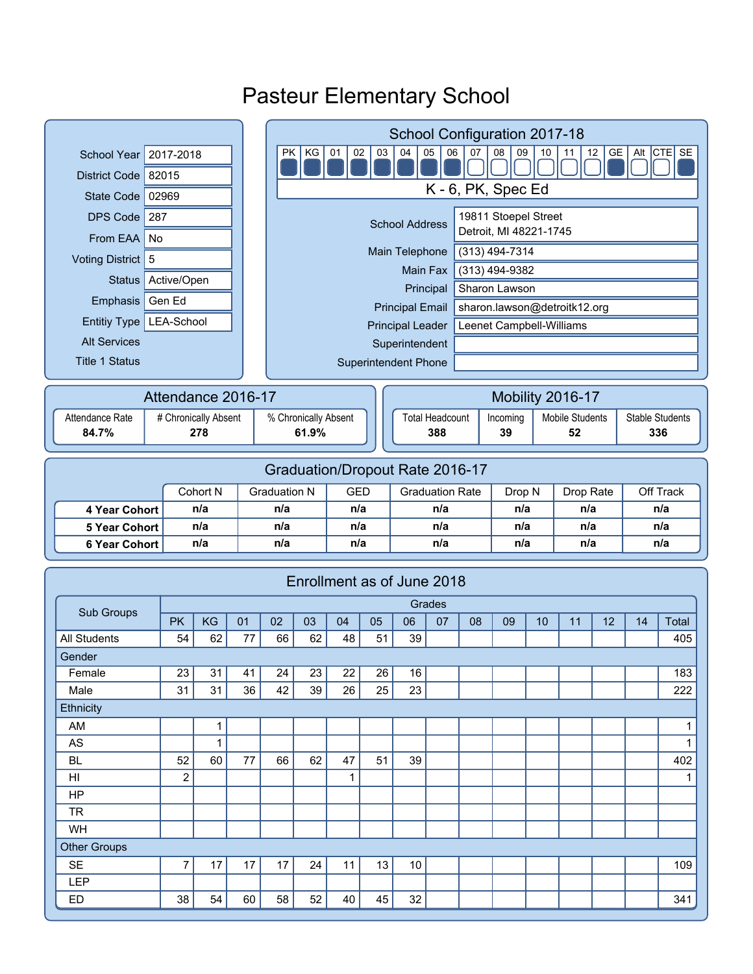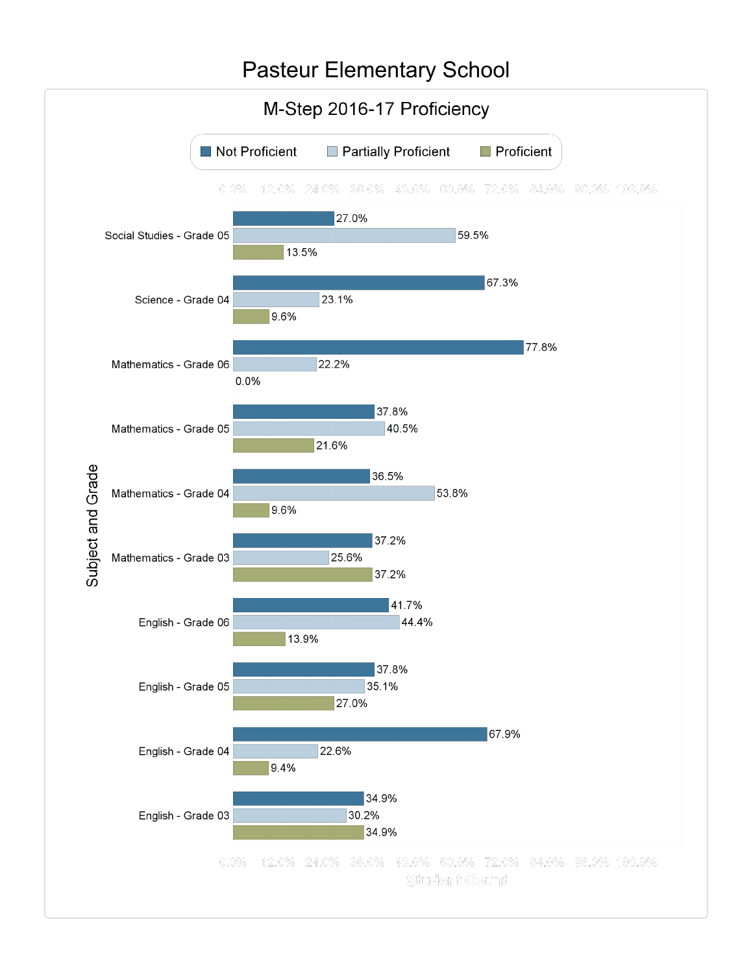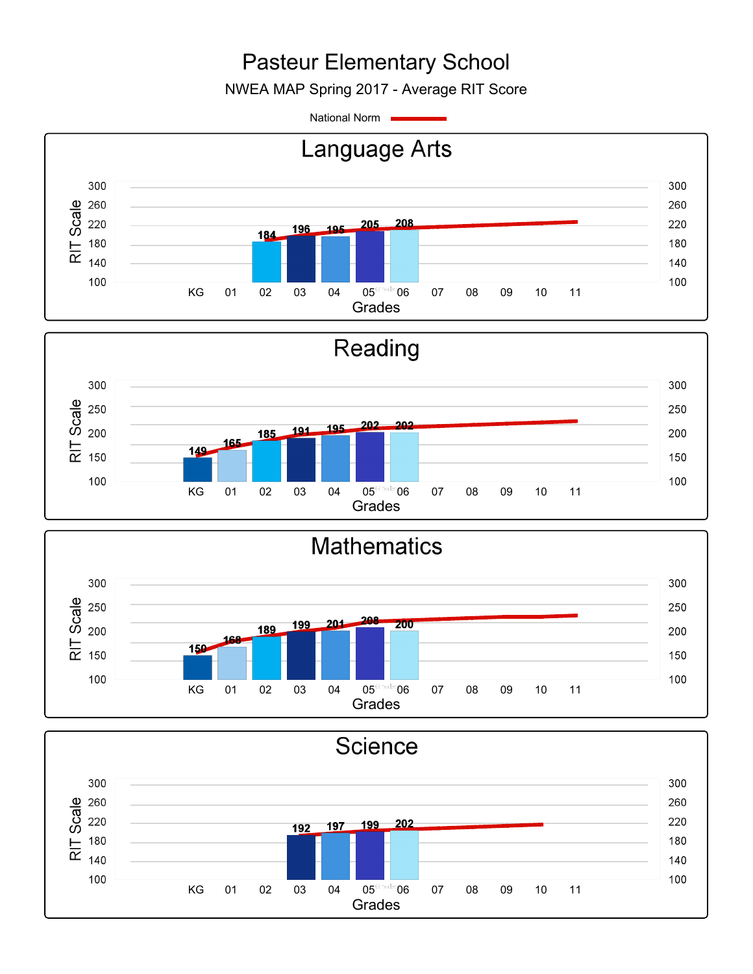NWEA MAP Spring 2017 - Average RIT Score

National Norm